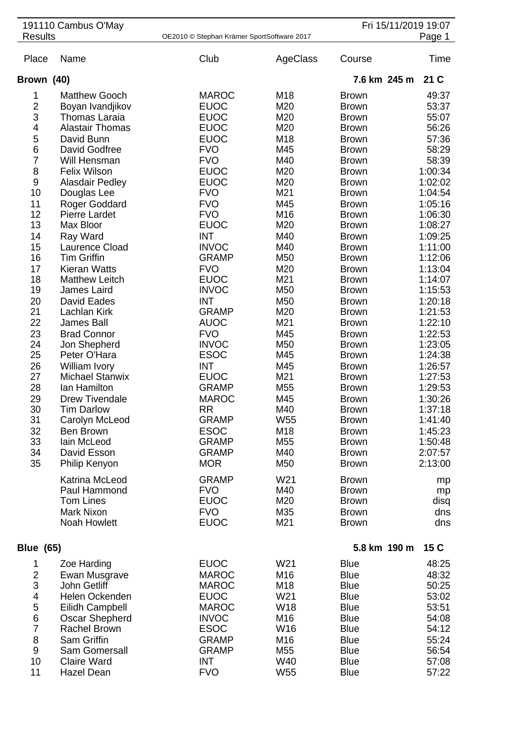|                          | 191110 Cambus O'May                   |                                            |            |                              | Fri 15/11/2019 19:07 |
|--------------------------|---------------------------------------|--------------------------------------------|------------|------------------------------|----------------------|
| <b>Results</b>           |                                       | OE2010 © Stephan Krämer SportSoftware 2017 |            |                              | Page 1               |
| Place                    | Name                                  | Club                                       | AgeClass   | Course                       | Time                 |
| Brown (40)               |                                       |                                            |            | 7.6 km 245 m                 | 21 C                 |
| 1                        | <b>Matthew Gooch</b>                  | <b>MAROC</b>                               | M18        | <b>Brown</b>                 | 49:37                |
| $\overline{c}$           | Boyan Ivandjikov                      | <b>EUOC</b>                                | M20        | <b>Brown</b>                 | 53:37                |
| 3                        | <b>Thomas Laraia</b>                  | <b>EUOC</b>                                | M20        | <b>Brown</b>                 | 55:07                |
| 4                        | <b>Alastair Thomas</b>                | <b>EUOC</b>                                | M20        | <b>Brown</b>                 | 56:26                |
| 5                        | David Bunn                            | <b>EUOC</b>                                | M18        | <b>Brown</b>                 | 57:36                |
| 6                        | David Godfree                         | <b>FVO</b>                                 | M45        | <b>Brown</b>                 | 58:29                |
| 7                        | Will Hensman                          | <b>FVO</b>                                 | M40        | <b>Brown</b>                 | 58:39                |
| 8                        | <b>Felix Wilson</b>                   | <b>EUOC</b>                                | M20        | <b>Brown</b>                 | 1:00:34              |
| $\boldsymbol{9}$<br>10   | <b>Alasdair Pedley</b><br>Douglas Lee | <b>EUOC</b><br><b>FVO</b>                  | M20<br>M21 | <b>Brown</b><br><b>Brown</b> | 1:02:02<br>1:04:54   |
| 11                       | Roger Goddard                         | <b>FVO</b>                                 | M45        | <b>Brown</b>                 | 1:05:16              |
| 12                       | <b>Pierre Lardet</b>                  | <b>FVO</b>                                 | M16        | <b>Brown</b>                 | 1:06:30              |
| 13                       | Max Bloor                             | <b>EUOC</b>                                | M20        | <b>Brown</b>                 | 1:08:27              |
| 14                       | Ray Ward                              | <b>INT</b>                                 | M40        | <b>Brown</b>                 | 1:09:25              |
| 15                       | Laurence Cload                        | <b>INVOC</b>                               | M40        | <b>Brown</b>                 | 1:11:00              |
| 16                       | <b>Tim Griffin</b>                    | <b>GRAMP</b>                               | M50        | <b>Brown</b>                 | 1:12:06              |
| 17                       | <b>Kieran Watts</b>                   | <b>FVO</b>                                 | M20        | <b>Brown</b>                 | 1:13:04              |
| 18                       | <b>Matthew Leitch</b>                 | <b>EUOC</b>                                | M21        | <b>Brown</b>                 | 1:14:07              |
| 19                       | James Laird                           | <b>INVOC</b>                               | M50        | <b>Brown</b>                 | 1:15:53              |
| 20                       | David Eades                           | <b>INT</b>                                 | M50        | <b>Brown</b>                 | 1:20:18              |
| 21<br>22                 | Lachlan Kirk<br><b>James Ball</b>     | <b>GRAMP</b><br><b>AUOC</b>                | M20<br>M21 | <b>Brown</b><br><b>Brown</b> | 1:21:53<br>1:22:10   |
| 23                       | <b>Brad Connor</b>                    | <b>FVO</b>                                 | M45        | <b>Brown</b>                 | 1:22:53              |
| 24                       | Jon Shepherd                          | <b>INVOC</b>                               | M50        | <b>Brown</b>                 | 1:23:05              |
| 25                       | Peter O'Hara                          | <b>ESOC</b>                                | M45        | <b>Brown</b>                 | 1:24:38              |
| 26                       | William Ivory                         | <b>INT</b>                                 | M45        | <b>Brown</b>                 | 1:26:57              |
| 27                       | <b>Michael Stanwix</b>                | <b>EUOC</b>                                | M21        | <b>Brown</b>                 | 1:27:53              |
| 28                       | lan Hamilton                          | <b>GRAMP</b>                               | M55        | <b>Brown</b>                 | 1:29:53              |
| 29                       | <b>Drew Tivendale</b>                 | <b>MAROC</b>                               | M45        | <b>Brown</b>                 | 1:30:26              |
| 30                       | <b>Tim Darlow</b>                     | <b>RR</b>                                  | M40        | <b>Brown</b>                 | 1:37:18              |
| 31                       | Carolyn McLeod                        | <b>GRAMP</b>                               | W55        | <b>Brown</b>                 | 1:41:40              |
| 32<br>33                 | Ben Brown<br>lain McLeod              | <b>ESOC</b><br><b>GRAMP</b>                | M18<br>M55 | <b>Brown</b><br><b>Brown</b> | 1:45:23<br>1:50:48   |
| 34                       | David Esson                           | <b>GRAMP</b>                               | M40        | <b>Brown</b>                 | 2:07:57              |
| 35                       | Philip Kenyon                         | <b>MOR</b>                                 | M50        | <b>Brown</b>                 | 2:13:00              |
|                          |                                       |                                            |            |                              |                      |
|                          | Katrina McLeod<br>Paul Hammond        | <b>GRAMP</b><br><b>FVO</b>                 | W21<br>M40 | <b>Brown</b><br><b>Brown</b> | mp                   |
|                          | <b>Tom Lines</b>                      | <b>EUOC</b>                                | M20        | <b>Brown</b>                 | mp<br>disq           |
|                          | <b>Mark Nixon</b>                     | <b>FVO</b>                                 | M35        | <b>Brown</b>                 | dns                  |
|                          | <b>Noah Howlett</b>                   | <b>EUOC</b>                                | M21        | <b>Brown</b>                 | dns                  |
|                          |                                       |                                            |            |                              |                      |
| <b>Blue (65)</b>         |                                       |                                            |            | 5.8 km 190 m                 | 15C                  |
| 1                        | Zoe Harding                           | <b>EUOC</b>                                | W21        | <b>Blue</b>                  | 48:25                |
| $\overline{\mathbf{c}}$  | Ewan Musgrave                         | <b>MAROC</b>                               | M16        | <b>Blue</b>                  | 48:32                |
| 3                        | John Getliff                          | <b>MAROC</b>                               | M18        | <b>Blue</b>                  | 50:25                |
| $\overline{\mathcal{A}}$ | Helen Ockenden                        | <b>EUOC</b>                                | W21        | <b>Blue</b>                  | 53:02                |
| 5                        | Eilidh Campbell                       | <b>MAROC</b>                               | W18        | <b>Blue</b>                  | 53:51                |
| $\,$ 6 $\,$              | Oscar Shepherd                        | <b>INVOC</b>                               | M16        | <b>Blue</b>                  | 54:08                |
| $\overline{7}$           | <b>Rachel Brown</b>                   | <b>ESOC</b>                                | W16        | <b>Blue</b>                  | 54:12                |
| 8<br>$9\,$               | Sam Griffin<br>Sam Gomersall          | <b>GRAMP</b><br><b>GRAMP</b>               | M16<br>M55 | <b>Blue</b><br><b>Blue</b>   | 55:24<br>56:54       |
| 10                       | <b>Claire Ward</b>                    | <b>INT</b>                                 | W40        | <b>Blue</b>                  | 57:08                |
| 11                       | <b>Hazel Dean</b>                     | <b>FVO</b>                                 | W55        | <b>Blue</b>                  | 57:22                |
|                          |                                       |                                            |            |                              |                      |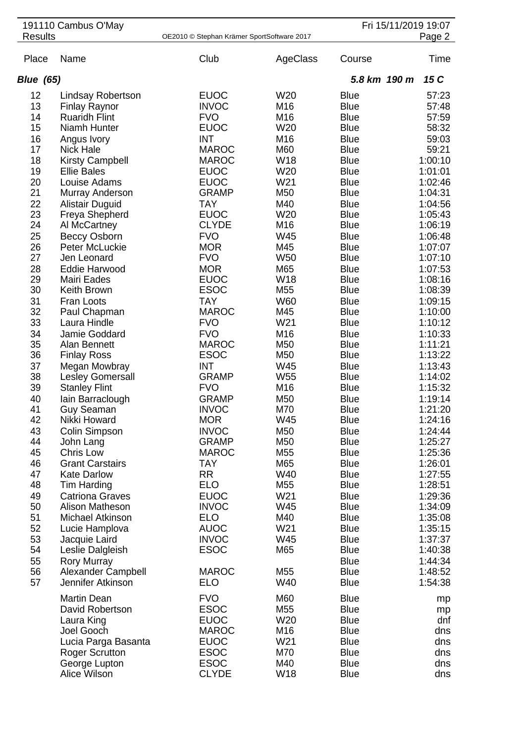|                  | 191110 Cambus O'May                          |                                            |                 |                            | Fri 15/11/2019 19:07 |
|------------------|----------------------------------------------|--------------------------------------------|-----------------|----------------------------|----------------------|
| <b>Results</b>   |                                              | OE2010 © Stephan Krämer SportSoftware 2017 |                 |                            | Page 2               |
| Place            | Name                                         | Club                                       | AgeClass        | Course                     | Time                 |
| <b>Blue (65)</b> |                                              |                                            |                 | 5.8 km 190 m               | 15 C                 |
| 12               | Lindsay Robertson                            | <b>EUOC</b>                                | W20             | <b>Blue</b>                | 57:23                |
| 13               | <b>Finlay Raynor</b>                         | <b>INVOC</b>                               | M16             | <b>Blue</b>                | 57:48                |
| 14               | <b>Ruaridh Flint</b>                         | <b>FVO</b>                                 | M16             | <b>Blue</b>                | 57:59                |
| 15               | Niamh Hunter                                 | <b>EUOC</b>                                | W20             | <b>Blue</b>                | 58:32                |
| 16               | Angus Ivory                                  | <b>INT</b>                                 | M16             | <b>Blue</b>                | 59:03                |
| 17               | <b>Nick Hale</b>                             | <b>MAROC</b>                               | M60             | <b>Blue</b>                | 59:21                |
| 18               | <b>Kirsty Campbell</b>                       | <b>MAROC</b>                               | W18             | <b>Blue</b>                | 1:00:10              |
| 19               | <b>Ellie Bales</b>                           | <b>EUOC</b>                                | W20             | <b>Blue</b>                | 1:01:01              |
| 20               | Louise Adams                                 | <b>EUOC</b>                                | W21             | <b>Blue</b>                | 1:02:46              |
| 21               | Murray Anderson                              | <b>GRAMP</b>                               | M50             | <b>Blue</b>                | 1:04:31              |
| 22               | <b>Alistair Duguid</b>                       | <b>TAY</b>                                 | M40             | <b>Blue</b>                | 1:04:56              |
| 23               | Freya Shepherd                               | <b>EUOC</b>                                | W20             | <b>Blue</b>                | 1:05:43              |
| 24               | Al McCartney                                 | <b>CLYDE</b>                               | M16             | <b>Blue</b>                | 1:06:19              |
| 25               | <b>Beccy Osborn</b>                          | <b>FVO</b>                                 | <b>W45</b>      | <b>Blue</b>                | 1:06:48              |
| 26               | Peter McLuckie                               | <b>MOR</b>                                 | M45             | <b>Blue</b>                | 1:07:07              |
| 27               | Jen Leonard                                  | <b>FVO</b>                                 | <b>W50</b>      | <b>Blue</b>                | 1:07:10              |
| 28               | <b>Eddie Harwood</b>                         | <b>MOR</b>                                 | M65             | <b>Blue</b>                | 1:07:53              |
| 29               | Mairi Eades                                  | <b>EUOC</b>                                | W18             | <b>Blue</b>                | 1:08:16              |
| 30               | Keith Brown                                  | <b>ESOC</b>                                | M55             | <b>Blue</b>                | 1:08:39              |
| 31               | Fran Loots                                   | <b>TAY</b>                                 | W60             | <b>Blue</b>                | 1:09:15              |
| 32               | Paul Chapman                                 | <b>MAROC</b>                               | M45             | <b>Blue</b>                | 1:10:00              |
| 33               | Laura Hindle                                 | <b>FVO</b>                                 | W21             | <b>Blue</b>                | 1:10:12              |
| 34               | Jamie Goddard                                | <b>FVO</b>                                 | M16             | <b>Blue</b>                | 1:10:33              |
| 35               | Alan Bennett                                 | <b>MAROC</b>                               | M50             | <b>Blue</b>                | 1:11:21              |
| 36               | <b>Finlay Ross</b>                           | <b>ESOC</b>                                | M50             | <b>Blue</b>                | 1:13:22              |
| 37               | Megan Mowbray                                | <b>INT</b>                                 | W45             | <b>Blue</b>                | 1:13:43              |
| 38               | Lesley Gomersall                             | <b>GRAMP</b>                               | W <sub>55</sub> | <b>Blue</b>                | 1:14:02              |
| 39               | <b>Stanley Flint</b>                         | <b>FVO</b>                                 | M16             | <b>Blue</b>                | 1:15:32              |
| 40               | lain Barraclough                             | <b>GRAMP</b>                               | M50             | <b>Blue</b>                | 1:19:14              |
| 41               | <b>Guy Seaman</b>                            | <b>INVOC</b>                               | M70             | <b>Blue</b>                | 1:21:20              |
| 42               | Nikki Howard                                 | <b>MOR</b>                                 | W45             | <b>Blue</b>                | 1:24:16              |
| 43               | Colin Simpson                                | <b>INVOC</b>                               | M50             | <b>Blue</b>                | 1:24:44              |
| 44<br>45         | John Lang<br>Chris Low                       | <b>GRAMP</b><br><b>MAROC</b>               | M50<br>M55      | <b>Blue</b><br><b>Blue</b> | 1:25:27<br>1:25:36   |
| 46               |                                              | <b>TAY</b>                                 | M65             | <b>Blue</b>                |                      |
| 47               | <b>Grant Carstairs</b><br><b>Kate Darlow</b> | <b>RR</b>                                  | W40             | <b>Blue</b>                | 1:26:01<br>1:27:55   |
| 48               | Tim Harding                                  | <b>ELO</b>                                 | M55             | <b>Blue</b>                | 1:28:51              |
| 49               | <b>Catriona Graves</b>                       | <b>EUOC</b>                                | W21             | <b>Blue</b>                | 1:29:36              |
| 50               | Alison Matheson                              | <b>INVOC</b>                               | W45             | <b>Blue</b>                | 1:34:09              |
| 51               | Michael Atkinson                             | <b>ELO</b>                                 | M40             | <b>Blue</b>                | 1:35:08              |
| 52               | Lucie Hamplova                               | <b>AUOC</b>                                | W21             | <b>Blue</b>                | 1:35:15              |
| 53               | Jacquie Laird                                | <b>INVOC</b>                               | W45             | <b>Blue</b>                | 1:37:37              |
| 54               | Leslie Dalgleish                             | <b>ESOC</b>                                | M65             | <b>Blue</b>                | 1:40:38              |
| 55               | <b>Rory Murray</b>                           |                                            |                 | <b>Blue</b>                | 1:44:34              |
| 56               | Alexander Campbell                           | <b>MAROC</b>                               | M55             | <b>Blue</b>                | 1:48:52              |
| 57               | Jennifer Atkinson                            | <b>ELO</b>                                 | W40             | <b>Blue</b>                | 1:54:38              |
|                  |                                              |                                            |                 |                            |                      |
|                  | <b>Martin Dean</b>                           | <b>FVO</b>                                 | M60             | <b>Blue</b>                | mp                   |
|                  | David Robertson                              | <b>ESOC</b>                                | M55             | <b>Blue</b>                | mp                   |
|                  | Laura King                                   | <b>EUOC</b><br><b>MAROC</b>                | W20<br>M16      | <b>Blue</b><br><b>Blue</b> | dnf                  |
|                  | Joel Gooch                                   | <b>EUOC</b>                                | W21             | <b>Blue</b>                | dns<br>dns           |
|                  | Lucia Parga Basanta<br><b>Roger Scrutton</b> | <b>ESOC</b>                                | M70             | <b>Blue</b>                | dns                  |
|                  | George Lupton                                | <b>ESOC</b>                                | M40             | <b>Blue</b>                | dns                  |
|                  | Alice Wilson                                 | <b>CLYDE</b>                               | W18             | <b>Blue</b>                | dns                  |
|                  |                                              |                                            |                 |                            |                      |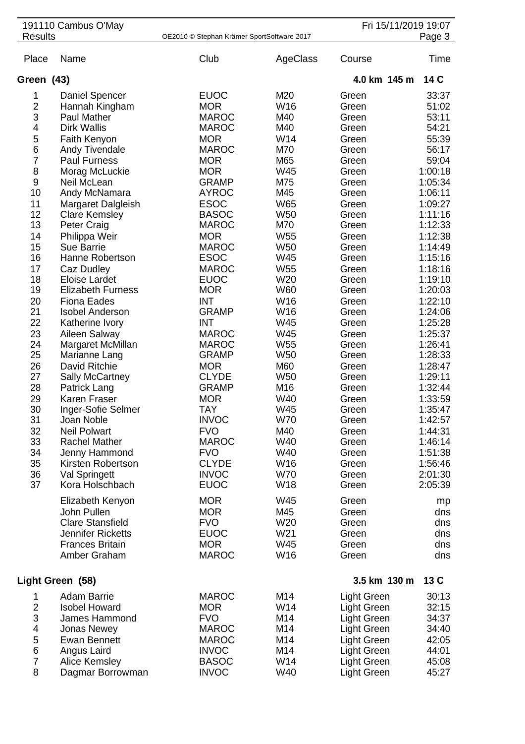|                              | 191110 Cambus O'May                       |                                            |                   | Fri 15/11/2019 19:07 |                    |
|------------------------------|-------------------------------------------|--------------------------------------------|-------------------|----------------------|--------------------|
| <b>Results</b>               |                                           | OE2010 © Stephan Krämer SportSoftware 2017 |                   |                      | Page 3             |
| Place                        | Name                                      | Club                                       | AgeClass          | Course               | Time               |
| Green (43)                   |                                           |                                            |                   | 4.0 km 145 m         | 14 C               |
| 1                            | Daniel Spencer                            | <b>EUOC</b><br><b>MOR</b>                  | M20<br>W16        | Green<br>Green       | 33:37              |
| $\overline{\mathbf{c}}$<br>3 | Hannah Kingham<br>Paul Mather             | <b>MAROC</b>                               | M40               | Green                | 51:02<br>53:11     |
| 4                            | <b>Dirk Wallis</b>                        | <b>MAROC</b>                               | M40               | Green                | 54:21              |
| 5                            | Faith Kenyon                              | <b>MOR</b>                                 | W14               | Green                | 55:39              |
| 6                            | Andy Tivendale                            | <b>MAROC</b>                               | M70               | Green                | 56:17              |
| $\overline{7}$               | <b>Paul Furness</b>                       | <b>MOR</b>                                 | M65               | Green                | 59:04              |
| 8                            | Morag McLuckie                            | <b>MOR</b>                                 | W45               | Green                | 1:00:18            |
| 9                            | Neil McLean                               | <b>GRAMP</b>                               | M75               | Green                | 1:05:34            |
| 10                           | Andy McNamara                             | <b>AYROC</b>                               | M45               | Green                | 1:06:11            |
| 11                           | Margaret Dalgleish                        | <b>ESOC</b>                                | W65               | Green                | 1:09:27            |
| 12                           | <b>Clare Kemsley</b>                      | <b>BASOC</b>                               | <b>W50</b>        | Green                | 1:11:16            |
| 13                           | <b>Peter Craig</b>                        | <b>MAROC</b>                               | M70               | Green                | 1:12:33            |
| 14                           | Philippa Weir                             | <b>MOR</b>                                 | W55               | Green                | 1:12:38            |
| 15                           | <b>Sue Barrie</b>                         | <b>MAROC</b>                               | <b>W50</b>        | Green                | 1:14:49            |
| 16                           | Hanne Robertson                           | <b>ESOC</b>                                | W45               | Green                | 1:15:16            |
| 17                           | Caz Dudley                                | <b>MAROC</b>                               | W <sub>55</sub>   | Green                | 1:18:16            |
| 18                           | Eloise Lardet                             | <b>EUOC</b>                                | W <sub>20</sub>   | Green                | 1:19:10            |
| 19                           | <b>Elizabeth Furness</b>                  | <b>MOR</b>                                 | W60               | Green                | 1:20:03            |
| 20<br>21                     | <b>Fiona Eades</b>                        | <b>INT</b><br><b>GRAMP</b>                 | W16<br>W16        | Green                | 1:22:10<br>1:24:06 |
| 22                           | <b>Isobel Anderson</b><br>Katherine Ivory | <b>INT</b>                                 | W45               | Green<br>Green       | 1:25:28            |
| 23                           | Aileen Salway                             | <b>MAROC</b>                               | W45               | Green                | 1:25:37            |
| 24                           | Margaret McMillan                         | <b>MAROC</b>                               | W <sub>55</sub>   | Green                | 1:26:41            |
| 25                           | Marianne Lang                             | <b>GRAMP</b>                               | W <sub>50</sub>   | Green                | 1:28:33            |
| 26                           | David Ritchie                             | <b>MOR</b>                                 | M60               | Green                | 1:28:47            |
| 27                           | Sally McCartney                           | <b>CLYDE</b>                               | W <sub>50</sub>   | Green                | 1:29:11            |
| 28                           | Patrick Lang                              | <b>GRAMP</b>                               | M16               | Green                | 1:32:44            |
| 29                           | <b>Karen Fraser</b>                       | <b>MOR</b>                                 | W40               | Green                | 1:33:59            |
| 30                           | Inger-Sofie Selmer                        | <b>TAY</b>                                 | W45               | Green                | 1:35:47            |
| 31                           | Joan Noble                                | <b>INVOC</b>                               | <b>W70</b>        | Green                | 1:42:57            |
| 32                           | <b>Neil Polwart</b>                       | <b>FVO</b>                                 | M40               | Green                | 1:44:31            |
| 33                           | <b>Rachel Mather</b>                      | <b>MAROC</b>                               | W40               | Green                | 1:46:14            |
| 34                           | Jenny Hammond                             | <b>FVO</b>                                 | W40               | Green                | 1:51:38            |
| 35                           | Kirsten Robertson                         | <b>CLYDE</b>                               | W16               | Green                | 1:56:46            |
| 36<br>37                     | <b>Val Springett</b><br>Kora Holschbach   | <b>INVOC</b><br><b>EUOC</b>                | <b>W70</b><br>W18 | Green                | 2:01:30            |
|                              |                                           |                                            |                   | Green                | 2:05:39            |
|                              | Elizabeth Kenyon                          | <b>MOR</b>                                 | W45               | Green                | mp                 |
|                              | John Pullen                               | <b>MOR</b>                                 | M45               | Green                | dns                |
|                              | <b>Clare Stansfield</b>                   | <b>FVO</b>                                 | W20               | Green                | dns                |
|                              | <b>Jennifer Ricketts</b>                  | <b>EUOC</b>                                | W21               | Green                | dns                |
|                              | <b>Frances Britain</b>                    | <b>MOR</b>                                 | W45               | Green                | dns                |
|                              | Amber Graham                              | <b>MAROC</b>                               | W16               | Green                | dns                |
|                              | Light Green (58)                          |                                            |                   | 3.5 km 130 m         | 13C                |
| 1                            | <b>Adam Barrie</b>                        | <b>MAROC</b>                               | M14               | <b>Light Green</b>   | 30:13              |
| $\overline{2}$               | <b>Isobel Howard</b>                      | <b>MOR</b>                                 | W14               | Light Green          | 32:15              |
| 3                            | James Hammond                             | <b>FVO</b>                                 | M14               | Light Green          | 34:37              |
| 4                            | Jonas Newey                               | <b>MAROC</b>                               | M14               | Light Green          | 34:40              |
| 5                            | <b>Ewan Bennett</b>                       | <b>MAROC</b>                               | M14               | Light Green          | 42:05              |
| 6                            | Angus Laird                               | <b>INVOC</b>                               | M14               | Light Green          | 44:01              |
| $\overline{7}$               | Alice Kemsley                             | <b>BASOC</b>                               | W14               | Light Green          | 45:08              |
| 8                            | Dagmar Borrowman                          | <b>INVOC</b>                               | W40               | Light Green          | 45:27              |
|                              |                                           |                                            |                   |                      |                    |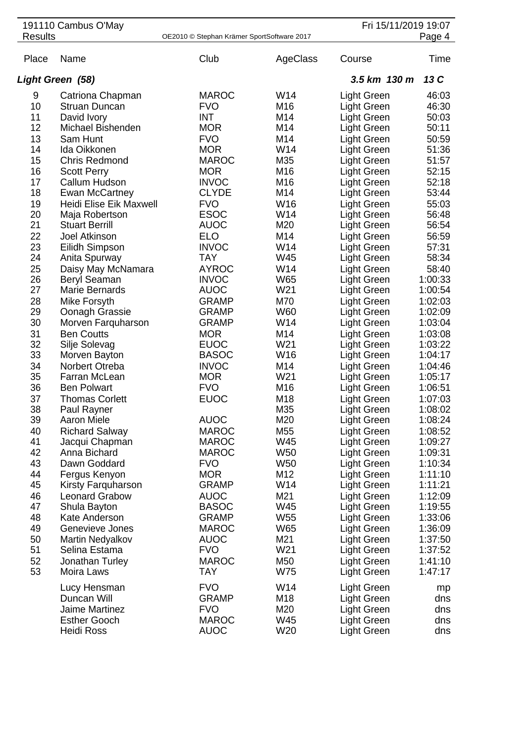|                | 191110 Cambus O'May           |                                            |                 | Fri 15/11/2019 19:07       |                    |
|----------------|-------------------------------|--------------------------------------------|-----------------|----------------------------|--------------------|
| <b>Results</b> |                               | OE2010 © Stephan Krämer SportSoftware 2017 |                 |                            | Page 4             |
| Place          | Name                          | Club                                       | AgeClass        | Course                     | Time               |
|                | Light Green (58)              |                                            |                 | 3.5 km 130 m               | 13 C               |
| 9              | Catriona Chapman              | <b>MAROC</b>                               | W14             | <b>Light Green</b>         | 46:03              |
| 10             | <b>Struan Duncan</b>          | <b>FVO</b>                                 | M16             | <b>Light Green</b>         | 46:30              |
| 11             | David Ivory                   | <b>INT</b>                                 | M14             | <b>Light Green</b>         | 50:03              |
| 12             | Michael Bishenden             | <b>MOR</b>                                 | M14             | <b>Light Green</b>         | 50:11              |
| 13             | Sam Hunt                      | <b>FVO</b>                                 | M14             | <b>Light Green</b>         | 50:59              |
| 14             | Ida Oikkonen                  | <b>MOR</b>                                 | W14             | <b>Light Green</b>         | 51:36              |
| 15             | <b>Chris Redmond</b>          | <b>MAROC</b>                               | M35             | <b>Light Green</b>         | 51:57              |
| 16             | <b>Scott Perry</b>            | <b>MOR</b>                                 | M16             | Light Green                | 52:15              |
| 17             | Callum Hudson                 | <b>INVOC</b>                               | M16             | Light Green                | 52:18              |
| 18             | Ewan McCartney                | <b>CLYDE</b>                               | M14             | Light Green                | 53:44              |
| 19             | Heidi Elise Eik Maxwell       | <b>FVO</b>                                 | W16             | Light Green                | 55:03              |
| 20             | Maja Robertson                | <b>ESOC</b>                                | W14             | Light Green                | 56:48              |
| 21             | <b>Stuart Berrill</b>         | <b>AUOC</b>                                | M20             | Light Green                | 56:54              |
| 22             | Joel Atkinson                 | <b>ELO</b>                                 | M14             | Light Green                | 56:59              |
| 23             | Eilidh Simpson                | <b>INVOC</b>                               | W14             | Light Green                | 57:31              |
| 24             | Anita Spurway                 | <b>TAY</b>                                 | W45             | Light Green                | 58:34              |
| 25             | Daisy May McNamara            | <b>AYROC</b>                               | W14             | Light Green                | 58:40              |
| 26             | <b>Beryl Seaman</b>           | <b>INVOC</b>                               | W65             | Light Green                | 1:00:33            |
| 27             | Marie Bernards                | <b>AUOC</b>                                | W21             | Light Green                | 1:00:54            |
| 28             | Mike Forsyth                  | <b>GRAMP</b>                               | M70             | Light Green                | 1:02:03            |
| 29             | Oonagh Grassie                | <b>GRAMP</b>                               | <b>W60</b>      | Light Green                | 1:02:09            |
| 30             | Morven Farquharson            | <b>GRAMP</b>                               | W14             | Light Green                | 1:03:04            |
| 31             | <b>Ben Coutts</b>             | <b>MOR</b>                                 | M14             | <b>Light Green</b>         | 1:03:08            |
| 32             | Silje Solevag                 | <b>EUOC</b>                                | W21             | Light Green                | 1:03:22            |
| 33             | Morven Bayton                 | <b>BASOC</b>                               | W16             | <b>Light Green</b>         | 1:04:17            |
| 34             | Norbert Otreba                | <b>INVOC</b>                               | M14             | <b>Light Green</b>         | 1:04:46            |
| 35             | Farran McLean                 | <b>MOR</b>                                 | W21             | <b>Light Green</b>         | 1:05:17            |
| 36             | <b>Ben Polwart</b>            | <b>FVO</b>                                 | M16             | <b>Light Green</b>         | 1:06:51            |
| 37             | <b>Thomas Corlett</b>         | <b>EUOC</b>                                | M18             | <b>Light Green</b>         | 1:07:03            |
| 38             | Paul Rayner                   |                                            | M35             | <b>Light Green</b>         | 1:08:02            |
| 39             | <b>Aaron Miele</b>            | <b>AUOC</b>                                | M20             | Light Green                | 1:08:24            |
| 40             | <b>Richard Salway</b>         | <b>MAROC</b>                               | M55             | Light Green                | 1:08:52            |
| 41             | Jacqui Chapman                | <b>MAROC</b>                               | W45             | Light Green                | 1:09:27            |
| 42             | Anna Bichard                  | <b>MAROC</b>                               | W <sub>50</sub> | Light Green                | 1:09:31            |
| 43             | Dawn Goddard                  | <b>FVO</b>                                 | W <sub>50</sub> | Light Green                | 1:10:34            |
| 44             | Fergus Kenyon                 | <b>MOR</b>                                 | M12             | Light Green                | 1:11:10            |
| 45             | Kirsty Farquharson            | <b>GRAMP</b>                               | W14             | Light Green                | 1:11:21            |
| 46<br>47       | <b>Leonard Grabow</b>         | <b>AUOC</b>                                | M21<br>W45      | Light Green                | 1:12:09            |
| 48             | Shula Bayton<br>Kate Anderson | <b>BASOC</b><br><b>GRAMP</b>               | W <sub>55</sub> | Light Green                | 1:19:55<br>1:33:06 |
| 49             | Genevieve Jones               | <b>MAROC</b>                               | W65             | Light Green<br>Light Green | 1:36:09            |
| 50             | Martin Nedyalkov              | <b>AUOC</b>                                | M21             | Light Green                | 1:37:50            |
| 51             | Selina Estama                 | <b>FVO</b>                                 | W21             | Light Green                | 1:37:52            |
| 52             | Jonathan Turley               | <b>MAROC</b>                               | M50             | Light Green                | 1:41:10            |
| 53             | Moira Laws                    | <b>TAY</b>                                 | W75             | Light Green                | 1:47:17            |
|                |                               |                                            |                 |                            |                    |
|                | Lucy Hensman                  | <b>FVO</b>                                 | W14             | Light Green                | mp                 |
|                | Duncan Will                   | <b>GRAMP</b>                               | M18             | Light Green                | dns                |
|                | <b>Jaime Martinez</b>         | <b>FVO</b>                                 | M20             | Light Green                | dns                |
|                | <b>Esther Gooch</b>           | <b>MAROC</b>                               | W45             | Light Green                | dns                |
|                | <b>Heidi Ross</b>             | <b>AUOC</b>                                | W20             | Light Green                | dns                |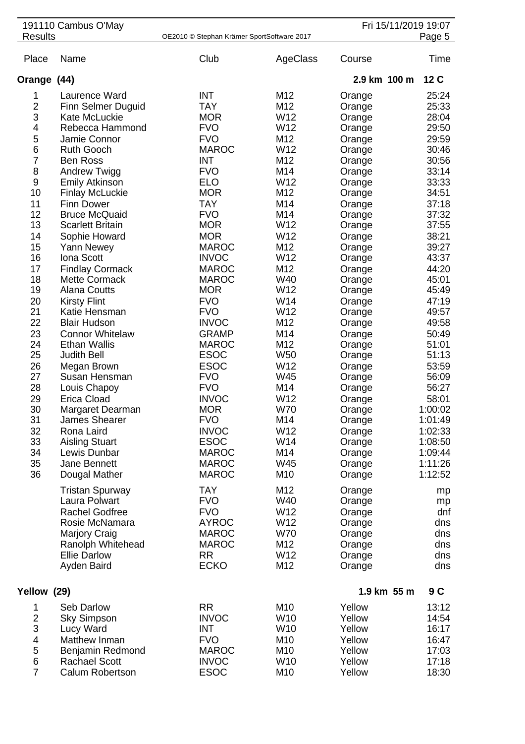|                | 191110 Cambus O'May                           |                                            |                 |                  | Fri 15/11/2019 19:07 |
|----------------|-----------------------------------------------|--------------------------------------------|-----------------|------------------|----------------------|
| <b>Results</b> |                                               | OE2010 © Stephan Krämer SportSoftware 2017 |                 |                  | Page 5               |
| Place          | Name                                          | Club                                       | AgeClass        | Course           | Time                 |
| Orange (44)    |                                               |                                            |                 | 2.9 km 100 m     | 12 C                 |
| 1              | Laurence Ward                                 | <b>INT</b>                                 | M12             | Orange           | 25:24                |
| 2              | <b>Finn Selmer Duguid</b>                     | <b>TAY</b>                                 | M12             | Orange           | 25:33                |
| 3              | Kate McLuckie                                 | <b>MOR</b>                                 | W12             | Orange           | 28:04                |
| 4              | Rebecca Hammond                               | <b>FVO</b>                                 | W12             | Orange           | 29:50                |
| 5              | Jamie Connor                                  | <b>FVO</b>                                 | M12             | Orange           | 29:59                |
| 6              | <b>Ruth Gooch</b>                             | <b>MAROC</b>                               | W12             | Orange           | 30:46                |
| $\overline{7}$ | <b>Ben Ross</b>                               | <b>INT</b>                                 | M12             | Orange           | 30:56                |
| 8              | Andrew Twigg                                  | <b>FVO</b>                                 | M14             | Orange           | 33:14                |
| 9              | <b>Emily Atkinson</b>                         | <b>ELO</b>                                 | W12             | Orange           | 33:33                |
| 10             | <b>Finlay McLuckie</b>                        | <b>MOR</b>                                 | M12             | Orange           | 34:51                |
| 11             | <b>Finn Dower</b>                             | <b>TAY</b>                                 | M14             | Orange           | 37:18                |
| 12             | <b>Bruce McQuaid</b>                          | <b>FVO</b>                                 | M14             | Orange           | 37:32                |
| 13             | <b>Scarlett Britain</b>                       | <b>MOR</b>                                 | W12             | Orange           | 37:55                |
| 14             | Sophie Howard                                 | <b>MOR</b>                                 | W12             | Orange           | 38:21                |
| 15             | <b>Yann Newey</b>                             | <b>MAROC</b>                               | M12             | Orange           | 39:27                |
| 16             | Iona Scott                                    | <b>INVOC</b>                               | W12             | Orange           | 43:37                |
| 17             | <b>Findlay Cormack</b>                        | <b>MAROC</b>                               | M12             | Orange           | 44:20                |
| 18             | <b>Mette Cormack</b>                          | <b>MAROC</b>                               | W40             | Orange           | 45:01                |
| 19             | <b>Alana Coutts</b>                           | <b>MOR</b>                                 | W12             | Orange           | 45:49                |
| 20             | <b>Kirsty Flint</b>                           | <b>FVO</b>                                 | W14             | Orange           | 47:19                |
| 21             | Katie Hensman                                 | <b>FVO</b>                                 | W12             | Orange           | 49:57                |
| 22             | <b>Blair Hudson</b>                           | <b>INVOC</b>                               | M12             | Orange           | 49:58                |
| 23<br>24       | <b>Connor Whitelaw</b><br><b>Ethan Wallis</b> | <b>GRAMP</b><br><b>MAROC</b>               | M14<br>M12      | Orange           | 50:49<br>51:01       |
| 25             | <b>Judith Bell</b>                            | <b>ESOC</b>                                | W <sub>50</sub> | Orange           | 51:13                |
| 26             | Megan Brown                                   | <b>ESOC</b>                                | W12             | Orange<br>Orange | 53:59                |
| 27             | Susan Hensman                                 | <b>FVO</b>                                 | W45             | Orange           | 56:09                |
| 28             | Louis Chapoy                                  | <b>FVO</b>                                 | M14             | Orange           | 56:27                |
| 29             | <b>Erica Cload</b>                            | <b>INVOC</b>                               | W12             | Orange           | 58:01                |
| 30             | Margaret Dearman                              | <b>MOR</b>                                 | <b>W70</b>      | Orange           | 1:00:02              |
| 31             | James Shearer                                 | <b>FVO</b>                                 | M14             | Orange           | 1:01:49              |
| 32             | Rona Laird                                    | <b>INVOC</b>                               | W12             | Orange           | 1:02:33              |
| 33             | <b>Aisling Stuart</b>                         | <b>ESOC</b>                                | W14             | Orange           | 1:08:50              |
| 34             | Lewis Dunbar                                  | <b>MAROC</b>                               | M14             | Orange           | 1:09:44              |
| 35             | Jane Bennett                                  | <b>MAROC</b>                               | W45             | Orange           | 1:11:26              |
| 36             | Dougal Mather                                 | <b>MAROC</b>                               | M10             | Orange           | 1:12:52              |
|                | <b>Tristan Spurway</b>                        | <b>TAY</b>                                 | M12             | Orange           | mp                   |
|                | Laura Polwart                                 | <b>FVO</b>                                 | W40             | Orange           | mp                   |
|                | <b>Rachel Godfree</b>                         | <b>FVO</b>                                 | W12             | Orange           | dnf                  |
|                | Rosie McNamara                                | <b>AYROC</b>                               | W12             | Orange           | dns                  |
|                | <b>Marjory Craig</b>                          | <b>MAROC</b>                               | <b>W70</b>      | Orange           | dns                  |
|                | Ranolph Whitehead                             | <b>MAROC</b>                               | M12             | Orange           | dns                  |
|                | <b>Ellie Darlow</b>                           | <b>RR</b>                                  | W12             | Orange           | dns                  |
|                | Ayden Baird                                   | <b>ECKO</b>                                | M12             | Orange           | dns                  |
| Yellow (29)    |                                               |                                            |                 | 1.9 km 55 m      | 9 C                  |
| 1              | Seb Darlow                                    | <b>RR</b>                                  | M10             | Yellow           | 13:12                |
| $\overline{2}$ | <b>Sky Simpson</b>                            | <b>INVOC</b>                               | W <sub>10</sub> | Yellow           | 14:54                |
| 3              | Lucy Ward                                     | <b>INT</b>                                 | W10             | Yellow           | 16:17                |
| 4              | Matthew Inman                                 | <b>FVO</b>                                 | M10             | Yellow           | 16:47                |
| 5              | Benjamin Redmond                              | <b>MAROC</b>                               | M10             | Yellow           | 17:03                |
| 6              | <b>Rachael Scott</b>                          | <b>INVOC</b>                               | W10             | Yellow           | 17:18                |
| $\overline{7}$ | Calum Robertson                               | <b>ESOC</b>                                | M10             | Yellow           | 18:30                |